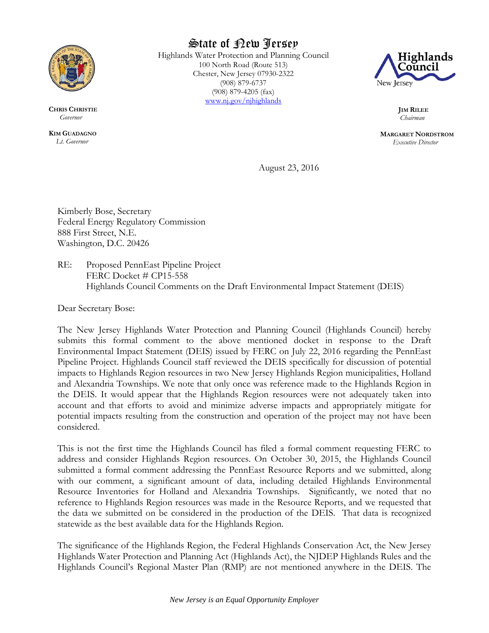

**CHRIS CHRISTIE**  *Governor*

**KIM GUADAGNO** *Lt. Governor*

State of New Jersey

Highlands Water Protection and Planning Council 100 North Road (Route 513) Chester, New Jersey 07930-2322 (908) 879-6737 (908) 879-4205 (fax) [www.nj.gov/njhighlands](http://www.nj.gov/njhighlands)



**JIM RILEE** *Chairman*

**MARGARET NORDSTROM** *Executive Director*

August 23, 2016

Kimberly Bose, Secretary Federal Energy Regulatory Commission 888 First Street, N.E. Washington, D.C. 20426

RE: Proposed PennEast Pipeline Project FERC Docket # CP15-558 Highlands Council Comments on the Draft Environmental Impact Statement (DEIS)

Dear Secretary Bose:

The New Jersey Highlands Water Protection and Planning Council (Highlands Council) hereby submits this formal comment to the above mentioned docket in response to the Draft Environmental Impact Statement (DEIS) issued by FERC on July 22, 2016 regarding the PennEast Pipeline Project. Highlands Council staff reviewed the DEIS specifically for discussion of potential impacts to Highlands Region resources in two New Jersey Highlands Region municipalities, Holland and Alexandria Townships. We note that only once was reference made to the Highlands Region in the DEIS. It would appear that the Highlands Region resources were not adequately taken into account and that efforts to avoid and minimize adverse impacts and appropriately mitigate for potential impacts resulting from the construction and operation of the project may not have been considered.

This is not the first time the Highlands Council has filed a formal comment requesting FERC to address and consider Highlands Region resources. On October 30, 2015, the Highlands Council submitted a formal comment addressing the PennEast Resource Reports and we submitted, along with our comment, a significant amount of data, including detailed Highlands Environmental Resource Inventories for Holland and Alexandria Townships. Significantly, we noted that no reference to Highlands Region resources was made in the Resource Reports, and we requested that the data we submitted on be considered in the production of the DEIS. That data is recognized statewide as the best available data for the Highlands Region.

The significance of the Highlands Region, the Federal Highlands Conservation Act, the New Jersey Highlands Water Protection and Planning Act (Highlands Act), the NJDEP Highlands Rules and the Highlands Council's Regional Master Plan (RMP) are not mentioned anywhere in the DEIS. The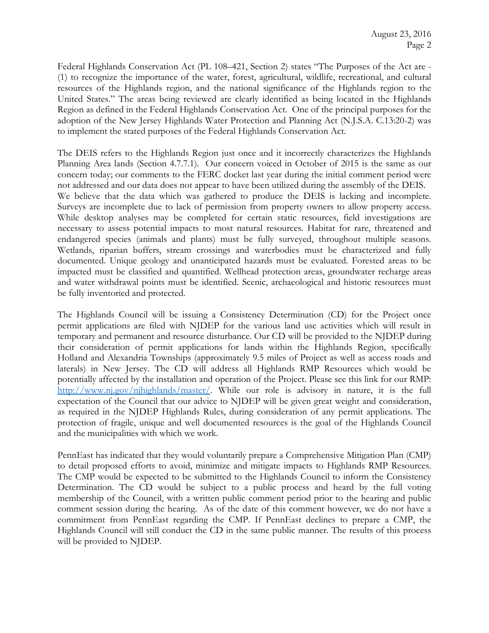Federal Highlands Conservation Act (PL 108–421, Section 2) states "The Purposes of the Act are - (1) to recognize the importance of the water, forest, agricultural, wildlife, recreational, and cultural resources of the Highlands region, and the national significance of the Highlands region to the United States." The areas being reviewed are clearly identified as being located in the Highlands Region as defined in the Federal Highlands Conservation Act. One of the principal purposes for the adoption of the New Jersey Highlands Water Protection and Planning Act (N.J.S.A. C.13:20-2) was to implement the stated purposes of the Federal Highlands Conservation Act.

The DEIS refers to the Highlands Region just once and it incorrectly characterizes the Highlands Planning Area lands (Section 4.7.7.1). Our concern voiced in October of 2015 is the same as our concern today; our comments to the FERC docket last year during the initial comment period were not addressed and our data does not appear to have been utilized during the assembly of the DEIS. We believe that the data which was gathered to produce the DEIS is lacking and incomplete. Surveys are incomplete due to lack of permission from property owners to allow property access. While desktop analyses may be completed for certain static resources, field investigations are necessary to assess potential impacts to most natural resources. Habitat for rare, threatened and endangered species (animals and plants) must be fully surveyed, throughout multiple seasons. Wetlands, riparian buffers, stream crossings and waterbodies must be characterized and fully documented. Unique geology and unanticipated hazards must be evaluated. Forested areas to be impacted must be classified and quantified. Wellhead protection areas, groundwater recharge areas and water withdrawal points must be identified. Scenic, archaeological and historic resources must be fully inventoried and protected.

The Highlands Council will be issuing a Consistency Determination (CD) for the Project once permit applications are filed with NJDEP for the various land use activities which will result in temporary and permanent and resource disturbance. Our CD will be provided to the NJDEP during their consideration of permit applications for lands within the Highlands Region, specifically Holland and Alexandria Townships (approximately 9.5 miles of Project as well as access roads and laterals) in New Jersey. The CD will address all Highlands RMP Resources which would be potentially affected by the installation and operation of the Project. Please see this link for our RMP: [http://www.nj.gov/njhighlands/master/.](http://www.nj.gov/njhighlands/master/) While our role is advisory in nature, it is the full expectation of the Council that our advice to NJDEP will be given great weight and consideration, as required in the NJDEP Highlands Rules, during consideration of any permit applications. The protection of fragile, unique and well documented resources is the goal of the Highlands Council and the municipalities with which we work.

PennEast has indicated that they would voluntarily prepare a Comprehensive Mitigation Plan (CMP) to detail proposed efforts to avoid, minimize and mitigate impacts to Highlands RMP Resources. The CMP would be expected to be submitted to the Highlands Council to inform the Consistency Determination. The CD would be subject to a public process and heard by the full voting membership of the Council, with a written public comment period prior to the hearing and public comment session during the hearing. As of the date of this comment however, we do not have a commitment from PennEast regarding the CMP. If PennEast declines to prepare a CMP, the Highlands Council will still conduct the CD in the same public manner. The results of this process will be provided to NJDEP.